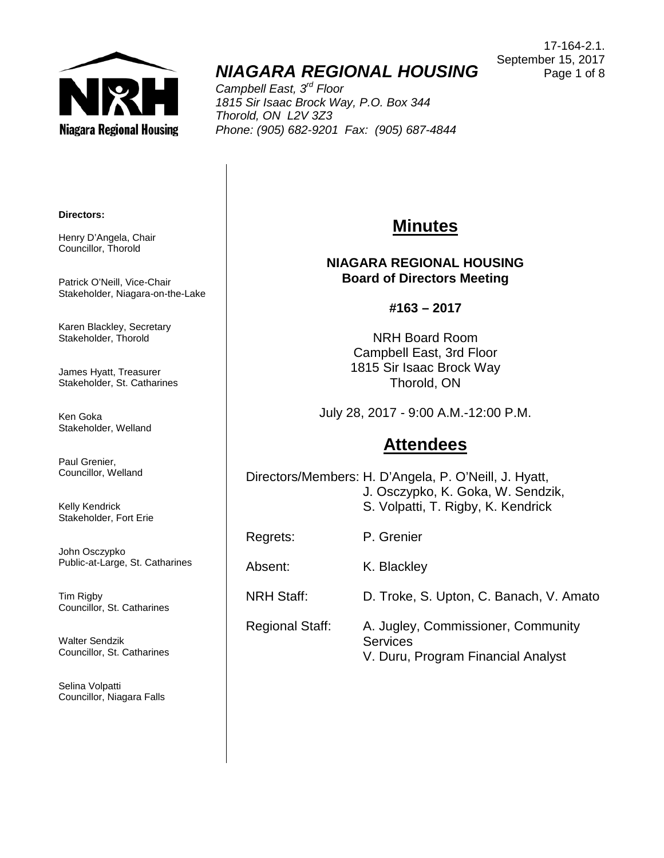

# *NIAGARA REGIONAL HOUSING*

*Campbell East, 3rd Floor 1815 Sir Isaac Brock Way, P.O. Box 344 Thorold, ON L2V 3Z3 Phone: (905) 682-9201 Fax: (905) 687-4844*

17-164-2.1. September 15, 2017 Page 1 of 8

#### **Directors:**

Henry D'Angela, Chair Councillor, Thorold

Patrick O'Neill, Vice-Chair Stakeholder, Niagara-on-the-Lake

Karen Blackley, Secretary Stakeholder, Thorold

James Hyatt, Treasurer Stakeholder, St. Catharines

Ken Goka Stakeholder, Welland

Paul Grenier, Councillor, Welland

Kelly Kendrick Stakeholder, Fort Erie

John Osczypko Public-at-Large, St. Catharines

Tim Rigby Councillor, St. Catharines

Walter Sendzik Councillor, St. Catharines

Selina Volpatti Councillor, Niagara Falls

# **Minutes**

#### **NIAGARA REGIONAL HOUSING Board of Directors Meeting**

#### **#163 – 2017**

NRH Board Room Campbell East, 3rd Floor 1815 Sir Isaac Brock Way Thorold, ON

July 28, 2017 - 9:00 A.M.-12:00 P.M.

## **Attendees**

Directors/Members: H. D'Angela, P. O'Neill, J. Hyatt, J. Osczypko, K. Goka, W. Sendzik, S. Volpatti, T. Rigby, K. Kendrick

Regrets: P. Grenier

Absent: K. Blackley

NRH Staff: D. Troke, S. Upton, C. Banach, V. Amato

Regional Staff: A. Jugley, Commissioner, Community **Services** V. Duru, Program Financial Analyst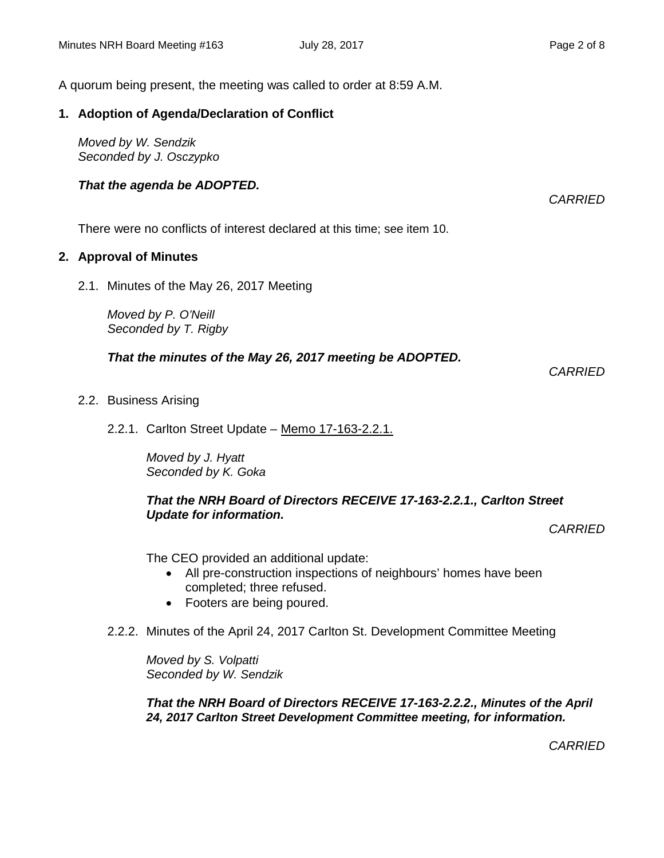A quorum being present, the meeting was called to order at 8:59 A.M.

### **1. Adoption of Agenda/Declaration of Conflict**

*Moved by W. Sendzik Seconded by J. Osczypko*

### *That the agenda be ADOPTED.*

*CARRIED*

There were no conflicts of interest declared at this time; see item 10.

### **2. Approval of Minutes**

2.1. Minutes of the May 26, 2017 Meeting

*Moved by P. O'Neill Seconded by T. Rigby*

### *That the minutes of the May 26, 2017 meeting be ADOPTED.*

*CARRIED*

- 2.2. Business Arising
	- 2.2.1. Carlton Street Update Memo 17-163-2.2.1.

*Moved by J. Hyatt Seconded by K. Goka*

#### *That the NRH Board of Directors RECEIVE 17-163-2.2.1., Carlton Street Update for information.*

*CARRIED*

The CEO provided an additional update:

- All pre-construction inspections of neighbours' homes have been completed; three refused.
- Footers are being poured.
- 2.2.2. Minutes of the April 24, 2017 Carlton St. Development Committee Meeting

*Moved by S. Volpatti Seconded by W. Sendzik*

*That the NRH Board of Directors RECEIVE 17-163-2.2.2., Minutes of the April 24, 2017 Carlton Street Development Committee meeting, for information.*

*CARRIED*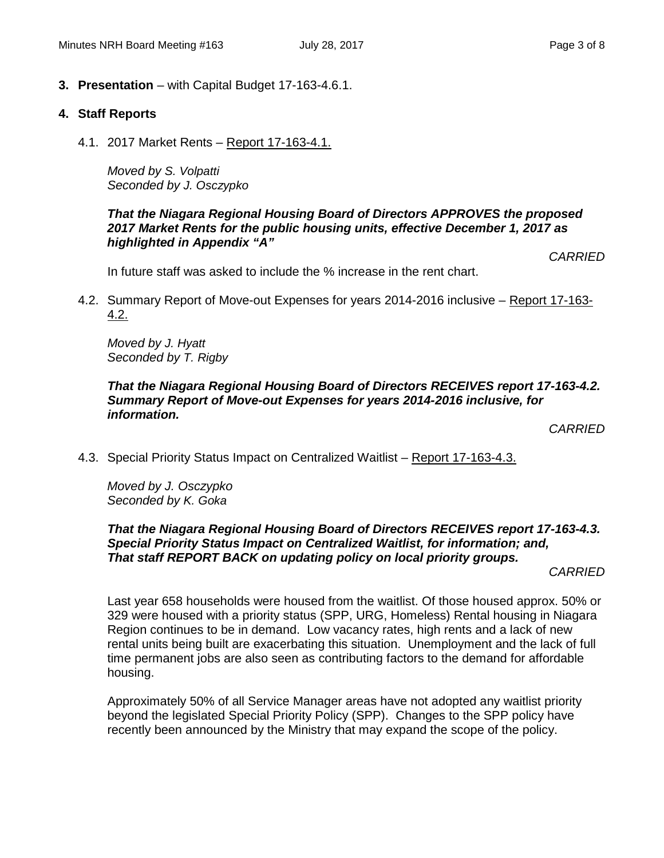**3. Presentation** – with Capital Budget 17-163-4.6.1.

### **4. Staff Reports**

4.1. 2017 Market Rents – Report 17-163-4.1.

*Moved by S. Volpatti Seconded by J. Osczypko*

#### *That the Niagara Regional Housing Board of Directors APPROVES the proposed 2017 Market Rents for the public housing units, effective December 1, 2017 as highlighted in Appendix "A"*

*CARRIED*

In future staff was asked to include the % increase in the rent chart.

4.2. Summary Report of Move-out Expenses for years 2014-2016 inclusive – Report 17-163- 4.2.

*Moved by J. Hyatt Seconded by T. Rigby*

### *That the Niagara Regional Housing Board of Directors RECEIVES report 17-163-4.2. Summary Report of Move-out Expenses for years 2014-2016 inclusive, for information.*

*CARRIED*

4.3. Special Priority Status Impact on Centralized Waitlist – Report 17-163-4.3.

*Moved by J. Osczypko Seconded by K. Goka*

### *That the Niagara Regional Housing Board of Directors RECEIVES report 17-163-4.3. Special Priority Status Impact on Centralized Waitlist, for information; and, That staff REPORT BACK on updating policy on local priority groups.*

*CARRIED*

Last year 658 households were housed from the waitlist. Of those housed approx. 50% or 329 were housed with a priority status (SPP, URG, Homeless) Rental housing in Niagara Region continues to be in demand. Low vacancy rates, high rents and a lack of new rental units being built are exacerbating this situation. Unemployment and the lack of full time permanent jobs are also seen as contributing factors to the demand for affordable housing.

Approximately 50% of all Service Manager areas have not adopted any waitlist priority beyond the legislated Special Priority Policy (SPP). Changes to the SPP policy have recently been announced by the Ministry that may expand the scope of the policy.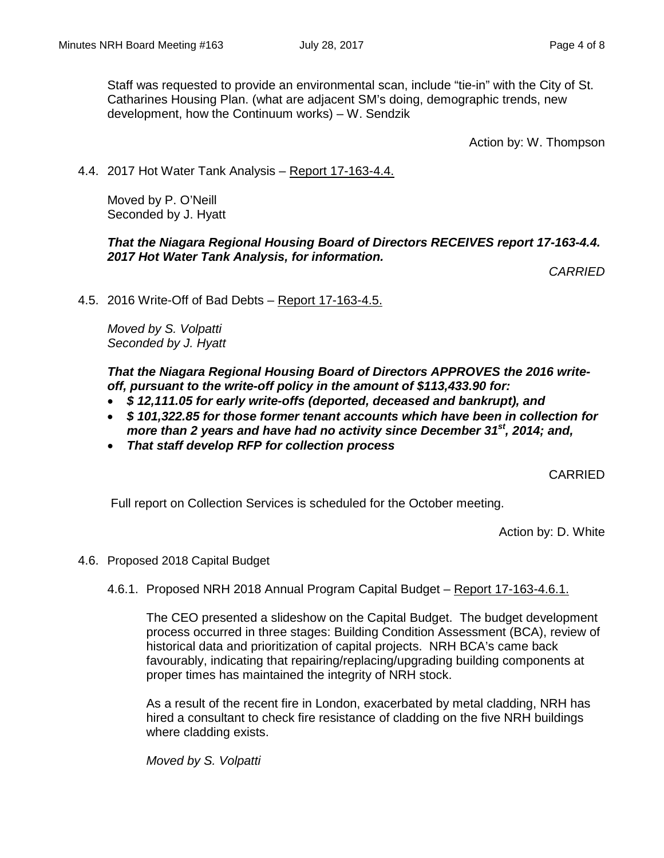Staff was requested to provide an environmental scan, include "tie-in" with the City of St. Catharines Housing Plan. (what are adjacent SM's doing, demographic trends, new development, how the Continuum works) – W. Sendzik

Action by: W. Thompson

4.4. 2017 Hot Water Tank Analysis – Report 17-163-4.4.

Moved by P. O'Neill Seconded by J. Hyatt

#### *That the Niagara Regional Housing Board of Directors RECEIVES report 17-163-4.4. 2017 Hot Water Tank Analysis, for information.*

*CARRIED*

4.5. 2016 Write-Off of Bad Debts – Report 17-163-4.5.

*Moved by S. Volpatti Seconded by J. Hyatt*

*That the Niagara Regional Housing Board of Directors APPROVES the 2016 writeoff, pursuant to the write-off policy in the amount of \$113,433.90 for:*

- *\$ 12,111.05 for early write-offs (deported, deceased and bankrupt), and*
- *\$ 101,322.85 for those former tenant accounts which have been in collection for more than 2 years and have had no activity since December 31st , 2014; and,*
- *That staff develop RFP for collection process*

CARRIED

Full report on Collection Services is scheduled for the October meeting.

Action by: D. White

4.6. Proposed 2018 Capital Budget

#### 4.6.1. Proposed NRH 2018 Annual Program Capital Budget – Report 17-163-4.6.1.

The CEO presented a slideshow on the Capital Budget. The budget development process occurred in three stages: Building Condition Assessment (BCA), review of historical data and prioritization of capital projects. NRH BCA's came back favourably, indicating that repairing/replacing/upgrading building components at proper times has maintained the integrity of NRH stock.

As a result of the recent fire in London, exacerbated by metal cladding, NRH has hired a consultant to check fire resistance of cladding on the five NRH buildings where cladding exists.

*Moved by S. Volpatti*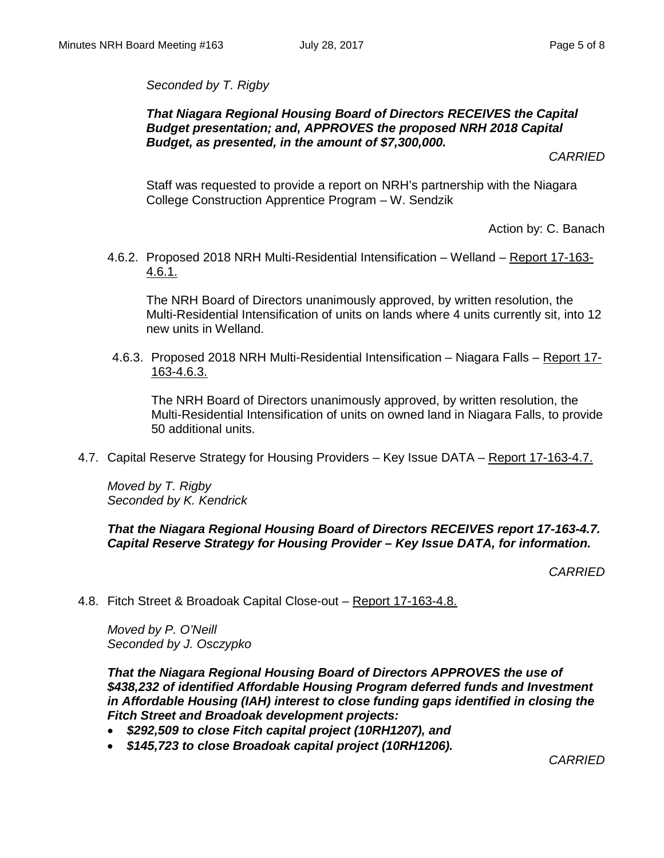*Seconded by T. Rigby*

### *That Niagara Regional Housing Board of Directors RECEIVES the Capital Budget presentation; and, APPROVES the proposed NRH 2018 Capital Budget, as presented, in the amount of \$7,300,000.*

*CARRIED*

Staff was requested to provide a report on NRH's partnership with the Niagara College Construction Apprentice Program – W. Sendzik

Action by: C. Banach

4.6.2. Proposed 2018 NRH Multi-Residential Intensification – Welland – Report 17-163- 4.6.1.

The NRH Board of Directors unanimously approved, by written resolution, the Multi-Residential Intensification of units on lands where 4 units currently sit, into 12 new units in Welland.

4.6.3. Proposed 2018 NRH Multi-Residential Intensification – Niagara Falls – Report 17- 163-4.6.3.

The NRH Board of Directors unanimously approved, by written resolution, the Multi-Residential Intensification of units on owned land in Niagara Falls, to provide 50 additional units.

4.7. Capital Reserve Strategy for Housing Providers – Key Issue DATA – Report 17-163-4.7.

*Moved by T. Rigby Seconded by K. Kendrick*

#### *That the Niagara Regional Housing Board of Directors RECEIVES report 17-163-4.7. Capital Reserve Strategy for Housing Provider – Key Issue DATA, for information.*

*CARRIED*

4.8. Fitch Street & Broadoak Capital Close-out – Report 17-163-4.8.

*Moved by P. O'Neill Seconded by J. Osczypko*

*That the Niagara Regional Housing Board of Directors APPROVES the use of \$438,232 of identified Affordable Housing Program deferred funds and Investment in Affordable Housing (IAH) interest to close funding gaps identified in closing the Fitch Street and Broadoak development projects:*

- *\$292,509 to close Fitch capital project (10RH1207), and*
- *\$145,723 to close Broadoak capital project (10RH1206).*

*CARRIED*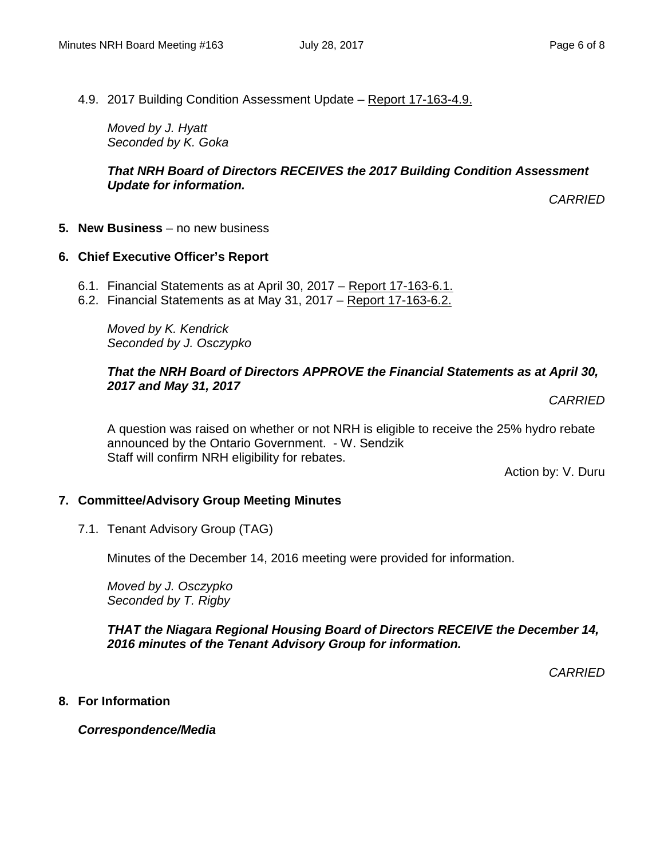### 4.9. 2017 Building Condition Assessment Update – Report 17-163-4.9.

*Moved by J. Hyatt Seconded by K. Goka*

#### *That NRH Board of Directors RECEIVES the 2017 Building Condition Assessment Update for information.*

*CARRIED*

**5. New Business** – no new business

### **6. Chief Executive Officer's Report**

- 6.1. Financial Statements as at April 30, 2017 Report 17-163-6.1.
- 6.2. Financial Statements as at May 31, 2017 Report 17-163-6.2.

*Moved by K. Kendrick Seconded by J. Osczypko*

#### *That the NRH Board of Directors APPROVE the Financial Statements as at April 30, 2017 and May 31, 2017*

*CARRIED*

A question was raised on whether or not NRH is eligible to receive the 25% hydro rebate announced by the Ontario Government. - W. Sendzik Staff will confirm NRH eligibility for rebates.

Action by: V. Duru

### **7. Committee/Advisory Group Meeting Minutes**

7.1. Tenant Advisory Group (TAG)

Minutes of the December 14, 2016 meeting were provided for information.

*Moved by J. Osczypko Seconded by T. Rigby*

*THAT the Niagara Regional Housing Board of Directors RECEIVE the December 14, 2016 minutes of the Tenant Advisory Group for information.*

*CARRIED*

**8. For Information**

*Correspondence/Media*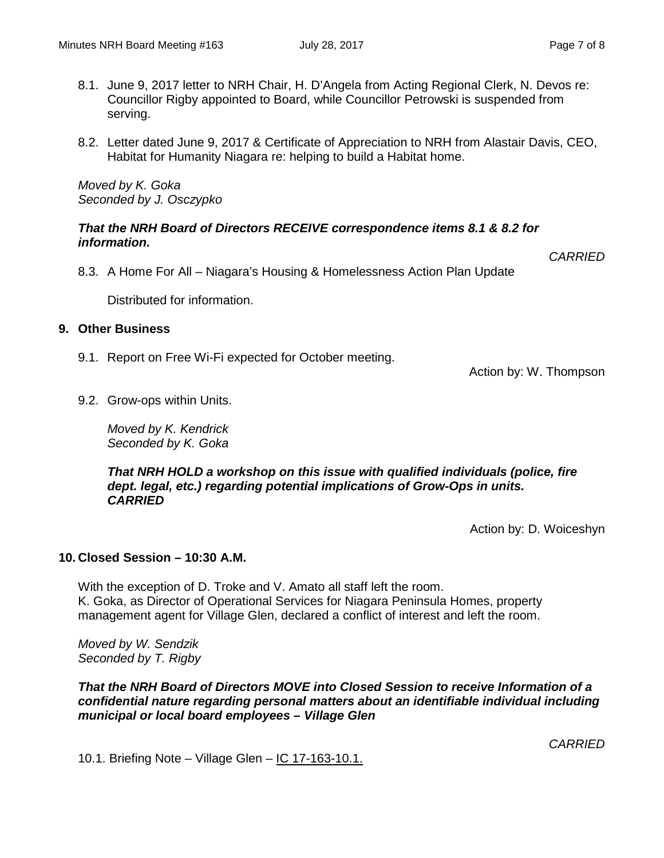*CARRIED*

- 8.1. June 9, 2017 letter to NRH Chair, H. D'Angela from Acting Regional Clerk, N. Devos re: Councillor Rigby appointed to Board, while Councillor Petrowski is suspended from serving.
- 8.2. Letter dated June 9, 2017 & Certificate of Appreciation to NRH from Alastair Davis, CEO, Habitat for Humanity Niagara re: helping to build a Habitat home.

*Moved by K. Goka Seconded by J. Osczypko*

#### *That the NRH Board of Directors RECEIVE correspondence items 8.1 & 8.2 for information.*

8.3. A Home For All – Niagara's Housing & Homelessness Action Plan Update

Distributed for information.

#### **9. Other Business**

9.1. Report on Free Wi-Fi expected for October meeting.

Action by: W. Thompson

9.2. Grow-ops within Units.

*Moved by K. Kendrick Seconded by K. Goka*

*That NRH HOLD a workshop on this issue with qualified individuals (police, fire dept. legal, etc.) regarding potential implications of Grow-Ops in units. CARRIED*

Action by: D. Woiceshyn

#### **10. Closed Session – 10:30 A.M.**

With the exception of D. Troke and V. Amato all staff left the room. K. Goka, as Director of Operational Services for Niagara Peninsula Homes, property management agent for Village Glen, declared a conflict of interest and left the room.

*Moved by W. Sendzik Seconded by T. Rigby*

*That the NRH Board of Directors MOVE into Closed Session to receive Information of a confidential nature regarding personal matters about an identifiable individual including municipal or local board employees – Village Glen*

*CARRIED*

10.1. Briefing Note – Village Glen – IC 17-163-10.1.